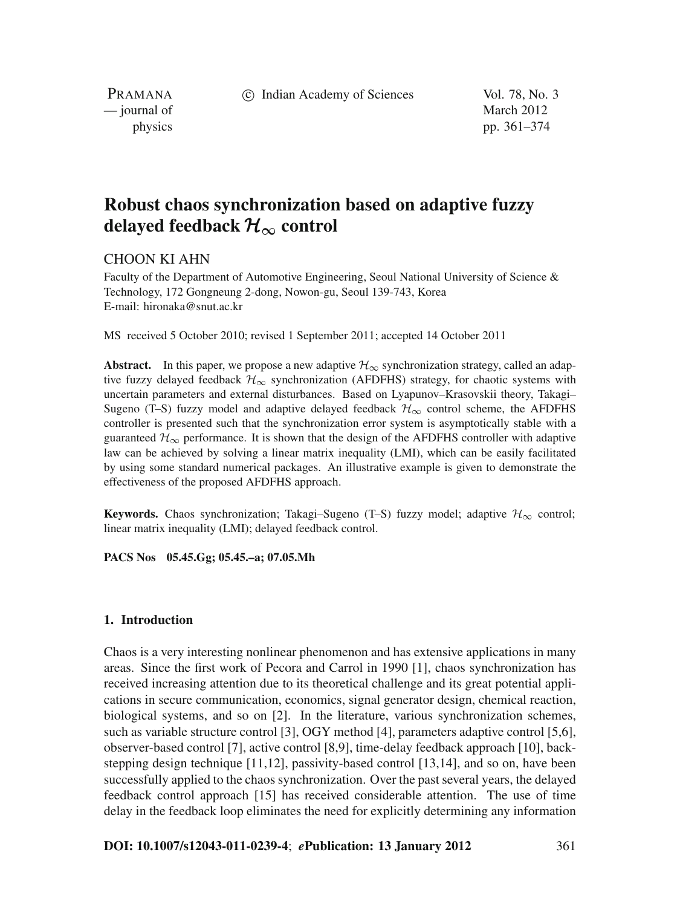c Indian Academy of Sciences Vol. 78, No. 3

PRAMANA — journal of March 2012

physics pp. 361–374

# **Robust chaos synchronization based on adaptive fuzzy delayed feedback**  $\mathcal{H}_{\infty}$  **control**

## CHOON KI AHN

Faculty of the Department of Automotive Engineering, Seoul National University of Science & Technology, 172 Gongneung 2-dong, Nowon-gu, Seoul 139-743, Korea E-mail: hironaka@snut.ac.kr

MS received 5 October 2010; revised 1 September 2011; accepted 14 October 2011

**Abstract.** In this paper, we propose a new adaptive  $\mathcal{H}_{\infty}$  synchronization strategy, called an adaptive fuzzy delayed feedback  $\mathcal{H}_{\infty}$  synchronization (AFDFHS) strategy, for chaotic systems with uncertain parameters and external disturbances. Based on Lyapunov–Krasovskii theory, Takagi– Sugeno (T–S) fuzzy model and adaptive delayed feedback  $\mathcal{H}_{\infty}$  control scheme, the AFDFHS controller is presented such that the synchronization error system is asymptotically stable with a guaranteed  $\mathcal{H}_{\infty}$  performance. It is shown that the design of the AFDFHS controller with adaptive law can be achieved by solving a linear matrix inequality (LMI), which can be easily facilitated by using some standard numerical packages. An illustrative example is given to demonstrate the effectiveness of the proposed AFDFHS approach.

**Keywords.** Chaos synchronization; Takagi–Sugeno (T–S) fuzzy model; adaptive  $\mathcal{H}_{\infty}$  control; linear matrix inequality (LMI); delayed feedback control.

**PACS Nos 05.45.Gg; 05.45.–a; 07.05.Mh**

#### **1. Introduction**

Chaos is a very interesting nonlinear phenomenon and has extensive applications in many areas. Since the first work of Pecora and Carrol in 1990 [1], chaos synchronization has received increasing attention due to its theoretical challenge and its great potential applications in secure communication, economics, signal generator design, chemical reaction, biological systems, and so on [2]. In the literature, various synchronization schemes, such as variable structure control [3], OGY method [4], parameters adaptive control [5,6], observer-based control [7], active control [8,9], time-delay feedback approach [10], backstepping design technique [11,12], passivity-based control [13,14], and so on, have been successfully applied to the chaos synchronization. Over the past several years, the delayed feedback control approach [15] has received considerable attention. The use of time delay in the feedback loop eliminates the need for explicitly determining any information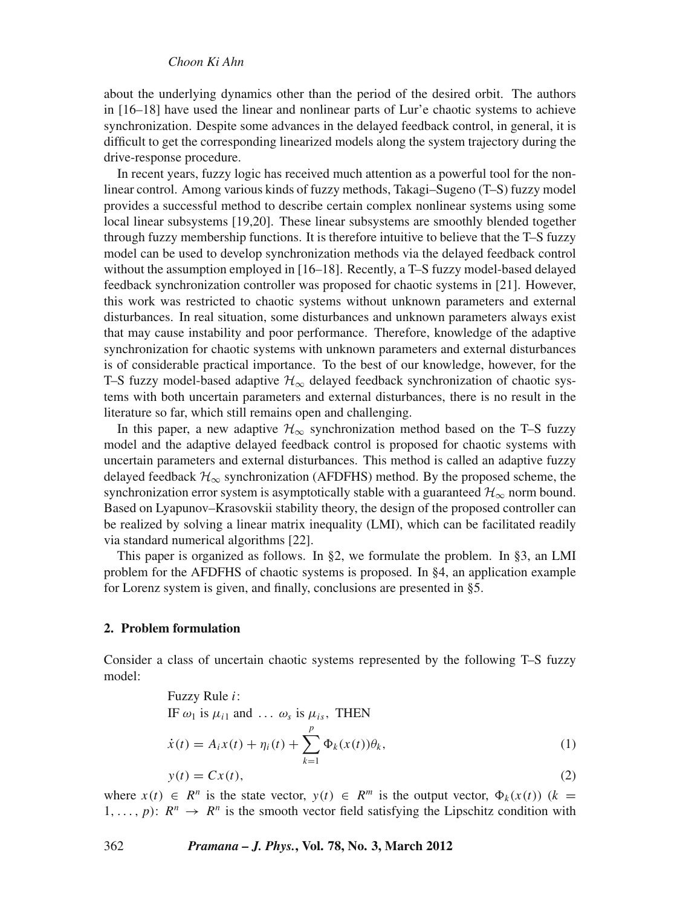about the underlying dynamics other than the period of the desired orbit. The authors in [16–18] have used the linear and nonlinear parts of Lur'e chaotic systems to achieve synchronization. Despite some advances in the delayed feedback control, in general, it is difficult to get the corresponding linearized models along the system trajectory during the drive-response procedure.

In recent years, fuzzy logic has received much attention as a powerful tool for the nonlinear control. Among various kinds of fuzzy methods, Takagi–Sugeno (T–S) fuzzy model provides a successful method to describe certain complex nonlinear systems using some local linear subsystems [19,20]. These linear subsystems are smoothly blended together through fuzzy membership functions. It is therefore intuitive to believe that the T–S fuzzy model can be used to develop synchronization methods via the delayed feedback control without the assumption employed in [16–18]. Recently, a T–S fuzzy model-based delayed feedback synchronization controller was proposed for chaotic systems in [21]. However, this work was restricted to chaotic systems without unknown parameters and external disturbances. In real situation, some disturbances and unknown parameters always exist that may cause instability and poor performance. Therefore, knowledge of the adaptive synchronization for chaotic systems with unknown parameters and external disturbances is of considerable practical importance. To the best of our knowledge, however, for the T–S fuzzy model-based adaptive  $\mathcal{H}_{\infty}$  delayed feedback synchronization of chaotic systems with both uncertain parameters and external disturbances, there is no result in the literature so far, which still remains open and challenging.

In this paper, a new adaptive  $\mathcal{H}_{\infty}$  synchronization method based on the T–S fuzzy model and the adaptive delayed feedback control is proposed for chaotic systems with uncertain parameters and external disturbances. This method is called an adaptive fuzzy delayed feedback  $\mathcal{H}_{\infty}$  synchronization (AFDFHS) method. By the proposed scheme, the synchronization error system is asymptotically stable with a guaranteed  $\mathcal{H}_{\infty}$  norm bound. Based on Lyapunov–Krasovskii stability theory, the design of the proposed controller can be realized by solving a linear matrix inequality (LMI), which can be facilitated readily via standard numerical algorithms [22].

This paper is organized as follows. In §2, we formulate the problem. In §3, an LMI problem for the AFDFHS of chaotic systems is proposed. In §4, an application example for Lorenz system is given, and finally, conclusions are presented in §5.

## **2. Problem formulation**

Consider a class of uncertain chaotic systems represented by the following T–S fuzzy model:

Fuzzy Rule *i*:  
\nIF 
$$
\omega_1
$$
 is  $\mu_{i1}$  and  $\dots \omega_s$  is  $\mu_{is}$ , THEN  
\n
$$
\dot{x}(t) = A_i x(t) + \eta_i(t) + \sum_{k=1}^p \Phi_k(x(t)) \theta_k,
$$
\n(1)  
\n
$$
y(t) = Cx(t),
$$
\n(2)

where  $x(t) \in R^n$  is the state vector,  $y(t) \in R^m$  is the output vector,  $\Phi_k(x(t))$  ( $k =$  $1, \ldots, p$ :  $R^n \rightarrow R^n$  is the smooth vector field satisfying the Lipschitz condition with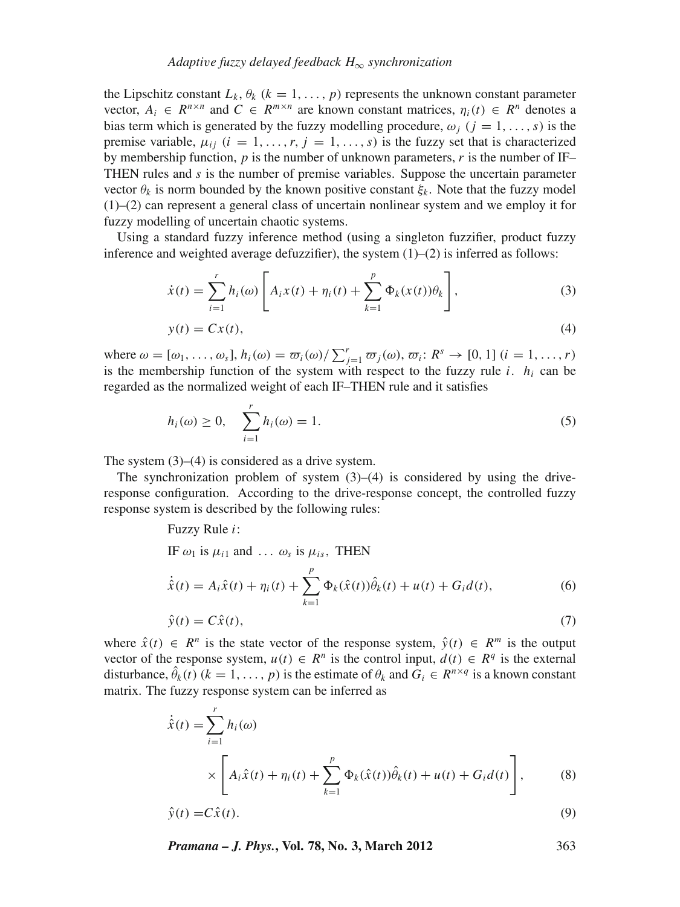## *Adapti*v*e fuzzy delayed feedback H*<sup>∞</sup> *synchronization*

the Lipschitz constant  $L_k$ ,  $\theta_k$  ( $k = 1, \ldots, p$ ) represents the unknown constant parameter vector,  $A_i \in R^{n \times n}$  and  $C \in R^{m \times n}$  are known constant matrices,  $\eta_i(t) \in R^n$  denotes a bias term which is generated by the fuzzy modelling procedure,  $\omega_i$  ( $j = 1, \ldots, s$ ) is the premise variable,  $\mu_{ij}$  ( $i = 1, \ldots, r, j = 1, \ldots, s$ ) is the fuzzy set that is characterized by membership function,  $p$  is the number of unknown parameters,  $r$  is the number of IF– THEN rules and *s* is the number of premise variables. Suppose the uncertain parameter vector  $\theta_k$  is norm bounded by the known positive constant  $\xi_k$ . Note that the fuzzy model (1)–(2) can represent a general class of uncertain nonlinear system and we employ it for fuzzy modelling of uncertain chaotic systems.

Using a standard fuzzy inference method (using a singleton fuzzifier, product fuzzy inference and weighted average defuzzifier), the system  $(1)$ – $(2)$  is inferred as follows:

$$
\dot{x}(t) = \sum_{i=1}^{r} h_i(\omega) \left[ A_i x(t) + \eta_i(t) + \sum_{k=1}^{p} \Phi_k(x(t)) \theta_k \right],
$$
\n(3)

$$
y(t) = Cx(t),
$$
\n<sup>(4)</sup>

where  $\omega = [\omega_1, \ldots, \omega_s], h_i(\omega) = \overline{\omega}_i(\omega) / \sum_{j=1}^r \overline{\omega}_j(\omega), \overline{\omega}_i : R^s \to [0, 1]$   $(i = 1, \ldots, r)$ is the membership function of the system with respect to the fuzzy rule  $i$ .  $h_i$  can be regarded as the normalized weight of each IF–THEN rule and it satisfies

$$
h_i(\omega) \ge 0, \quad \sum_{i=1}^r h_i(\omega) = 1.
$$
 (5)

The system  $(3)$ – $(4)$  is considered as a drive system.

The synchronization problem of system  $(3)$ – $(4)$  is considered by using the driveresponse configuration. According to the drive-response concept, the controlled fuzzy response system is described by the following rules:

## Fuzzy Rule *i*: IF  $\omega_1$  is  $\mu_{i1}$  and ...  $\omega_s$  is  $\mu_{is}$ , THEN  $\dot{\hat{x}}(t) = A_i \hat{x}(t) + \eta_i(t) + \sum$ *p k*=1  $\Phi_k(\hat{x}(t))\hat{\theta}_k(t) + u(t) + G_i d(t),$  (6)  $\hat{y}(t) = C\hat{x}(t),$ (7)

where  $\hat{x}(t) \in R^n$  is the state vector of the response system,  $\hat{y}(t) \in R^m$  is the output vector of the response system,  $u(t) \in R^n$  is the control input,  $d(t) \in R^q$  is the external disturbance,  $\hat{\theta}_k(t)$  ( $k = 1, ..., p$ ) is the estimate of  $\theta_k$  and  $G_i \in R^{n \times q}$  is a known constant matrix. The fuzzy response system can be inferred as

$$
\dot{\hat{x}}(t) = \sum_{i=1}^{r} h_i(\omega)
$$
\n
$$
\times \left[ A_i \hat{x}(t) + \eta_i(t) + \sum_{k=1}^{p} \Phi_k(\hat{x}(t)) \hat{\theta}_k(t) + u(t) + G_i d(t) \right],
$$
\n(8)

$$
\hat{y}(t) = C\hat{x}(t). \tag{9}
$$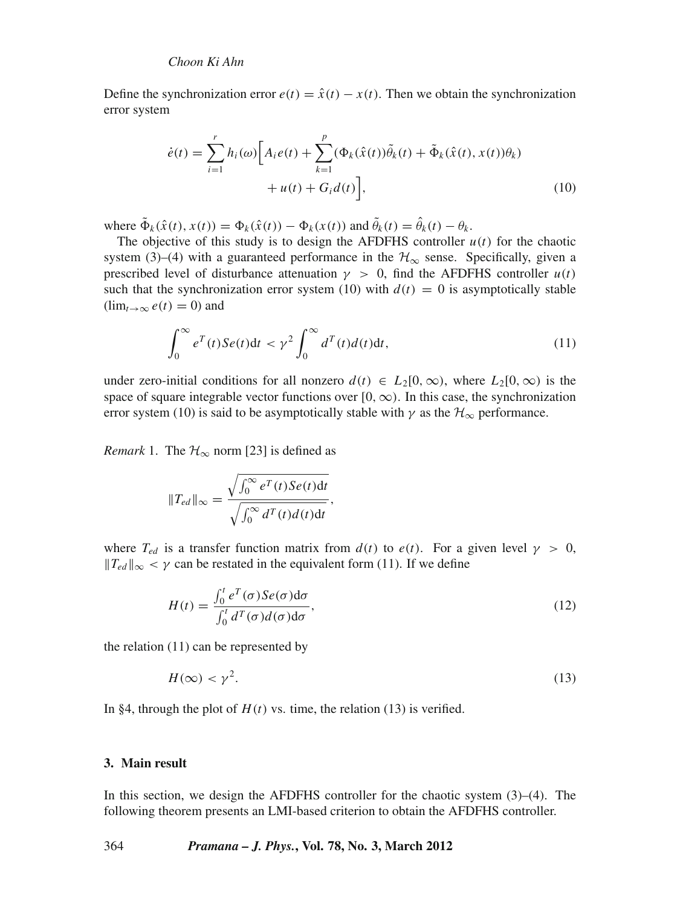Define the synchronization error  $e(t) = \hat{x}(t) - x(t)$ . Then we obtain the synchronization error system

$$
\dot{e}(t) = \sum_{i=1}^{r} h_i(\omega) \Big[ A_i e(t) + \sum_{k=1}^{p} (\Phi_k(\hat{x}(t)) \tilde{\theta}_k(t) + \tilde{\Phi}_k(\hat{x}(t), x(t)) \theta_k) + u(t) + G_i d(t) \Big], \tag{10}
$$

where  $\tilde{\Phi}_k(\hat{x}(t), x(t)) = \Phi_k(\hat{x}(t)) - \Phi_k(x(t))$  and  $\tilde{\theta}_k(t) = \hat{\theta}_k(t) - \theta_k$ .

The objective of this study is to design the AFDFHS controller  $u(t)$  for the chaotic system (3)–(4) with a guaranteed performance in the  $\mathcal{H}_{\infty}$  sense. Specifically, given a prescribed level of disturbance attenuation  $\gamma > 0$ , find the AFDFHS controller  $u(t)$ such that the synchronization error system (10) with  $d(t) = 0$  is asymptotically stable  $(\lim_{t\to\infty}e(t)=0)$  and

$$
\int_0^\infty e^T(t)Se(t)dt < \gamma^2 \int_0^\infty d^T(t)d(t)dt,
$$
\n(11)

under zero-initial conditions for all nonzero  $d(t) \in L_2[0,\infty)$ , where  $L_2[0,\infty)$  is the space of square integrable vector functions over  $[0, \infty)$ . In this case, the synchronization error system (10) is said to be asymptotically stable with  $\gamma$  as the  $\mathcal{H}_{\infty}$  performance.

*Remark* 1. The  $H_{\infty}$  norm [23] is defined as

$$
||T_{ed}||_{\infty} = \frac{\sqrt{\int_0^{\infty} e^T(t)Se(t)dt}}{\sqrt{\int_0^{\infty} d^T(t) d(t)dt}},
$$

where  $T_{ed}$  is a transfer function matrix from  $d(t)$  to  $e(t)$ . For a given level  $\gamma > 0$ ,  $||T_{ed}||_{\infty} < \gamma$  can be restated in the equivalent form (11). If we define

$$
H(t) = \frac{\int_0^t e^T(\sigma) S e(\sigma) d\sigma}{\int_0^t d^T(\sigma) d(\sigma) d\sigma},
$$
\n(12)

the relation (11) can be represented by

$$
H(\infty) < \gamma^2. \tag{13}
$$

In §4, through the plot of  $H(t)$  vs. time, the relation (13) is verified.

## **3. Main result**

In this section, we design the AFDFHS controller for the chaotic system (3)–(4). The following theorem presents an LMI-based criterion to obtain the AFDFHS controller.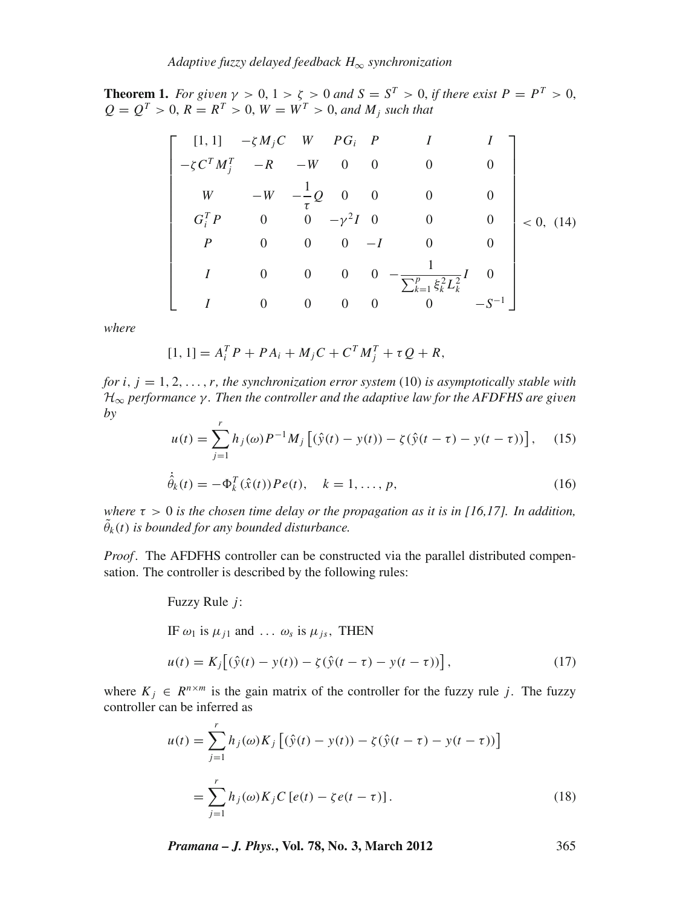**Theorem 1.** *For given*  $\gamma > 0$ ,  $1 > \zeta > 0$  *and*  $S = S^T > 0$ , *if there exist*  $P = P^T > 0$ ,  $Q = Q^T > 0, R = R^T > 0, W = W^T > 0, and M_j$  such that

$$
\begin{bmatrix}\n[1,1] & -\zeta M_j C & W & PG_i & P & I & I \\
-\zeta C^T M_j^T & -R & -W & 0 & 0 & 0 & 0 \\
W & -W & -\frac{1}{\tau} Q & 0 & 0 & 0 & 0 \\
G_i^T P & 0 & 0 & -\gamma^2 I & 0 & 0 & 0 \\
P & 0 & 0 & 0 & -I & 0 & 0 \\
I & 0 & 0 & 0 & 0 & -\frac{1}{\sum_{k=1}^p \xi_k^2 L_k^2} I & 0 \\
I & 0 & 0 & 0 & 0 & 0 & -S^{-1}\n\end{bmatrix} < 0, (14)
$$

*where*

$$
[1, 1] = A_i^T P + P A_i + M_j C + C^T M_j^T + \tau Q + R,
$$

*for i*, *j* = 1, 2,...,*r, the synchronization error system* (10) *is asymptotically stable with* H<sup>∞</sup> *performance* γ *. Then the controller and the adapti*v*e law for the AFDFHS are gi*v*en by*

$$
u(t) = \sum_{j=1}^{r} h_j(\omega) P^{-1} M_j \left[ (\hat{y}(t) - y(t)) - \zeta (\hat{y}(t - \tau) - y(t - \tau)) \right], \quad (15)
$$

$$
\dot{\hat{\theta}}_k(t) = -\Phi_k^T(\hat{x}(t))Pe(t), \quad k = 1, ..., p,
$$
\n(16)

*where*  $\tau > 0$  *is the chosen time delay or the propagation as it is in [16,17]. In addition,*  $\tilde{\theta}_k(t)$  is bounded for any bounded disturbance.

*Proof.* The AFDFHS controller can be constructed via the parallel distributed compensation. The controller is described by the following rules:

Fuzzy Rule *j*:  
\nIF 
$$
\omega_1
$$
 is  $\mu_{j1}$  and ...  $\omega_s$  is  $\mu_{js}$ , THEN  
\n
$$
u(t) = K_j[(\hat{y}(t) - y(t)) - \zeta(\hat{y}(t - \tau) - y(t - \tau))],
$$
\n(17)

where  $K_i \in R^{n \times m}$  is the gain matrix of the controller for the fuzzy rule *j*. The fuzzy controller can be inferred as

$$
u(t) = \sum_{j=1}^{r} h_j(\omega) K_j \left[ (\hat{y}(t) - y(t)) - \zeta (\hat{y}(t - \tau) - y(t - \tau)) \right]
$$
  

$$
= \sum_{j=1}^{r} h_j(\omega) K_j C \left[ e(t) - \zeta e(t - \tau) \right].
$$
 (18)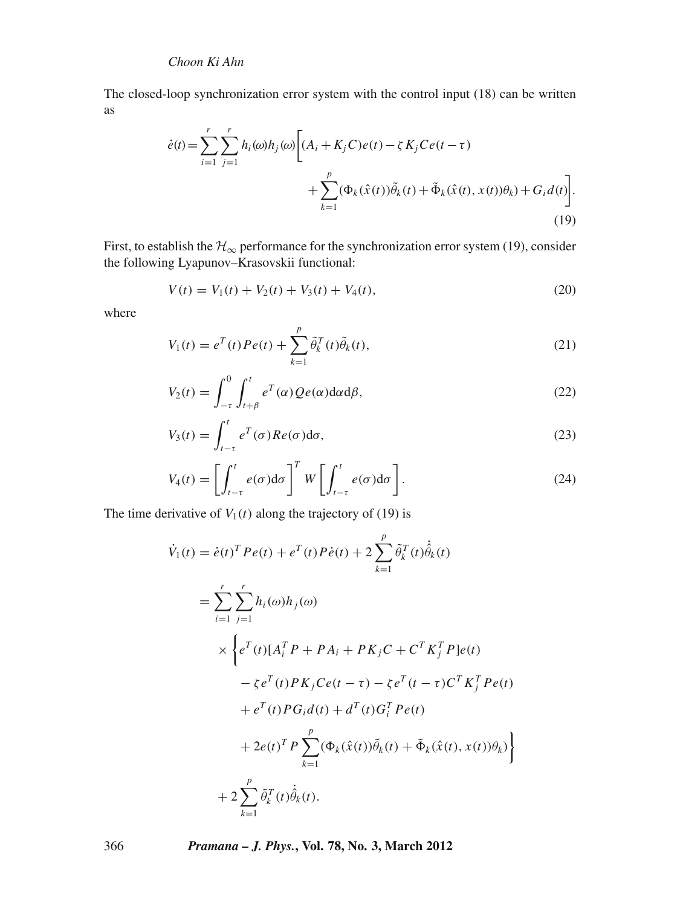The closed-loop synchronization error system with the control input (18) can be written as

$$
\dot{e}(t) = \sum_{i=1}^{r} \sum_{j=1}^{r} h_i(\omega) h_j(\omega) \Bigg[ (A_i + K_j C) e(t) - \zeta K_j C e(t - \tau) + \sum_{k=1}^{p} (\Phi_k(\hat{x}(t)) \tilde{\theta}_k(t) + \tilde{\Phi}_k(\hat{x}(t), x(t)) \theta_k) + G_i d(t) \Bigg].
$$
\n(19)

First, to establish the  $\mathcal{H}_{\infty}$  performance for the synchronization error system (19), consider the following Lyapunov–Krasovskii functional:

$$
V(t) = V_1(t) + V_2(t) + V_3(t) + V_4(t),
$$
\n(20)

where

$$
V_1(t) = e^T(t)Pe(t) + \sum_{k=1}^p \tilde{\theta}_k^T(t)\tilde{\theta}_k(t),
$$
\n(21)

$$
V_2(t) = \int_{-\tau}^0 \int_{t+\beta}^t e^T(\alpha) Q e(\alpha) d\alpha d\beta,
$$
 (22)

$$
V_3(t) = \int_{t-\tau}^t e^T(\sigma) Re(\sigma) d\sigma,
$$
\n(23)

$$
V_4(t) = \left[ \int_{t-\tau}^t e(\sigma) d\sigma \right]^T W \left[ \int_{t-\tau}^t e(\sigma) d\sigma \right].
$$
 (24)

The time derivative of  $V_1(t)$  along the trajectory of (19) is

$$
\dot{V}_1(t) = \dot{e}(t)^T P e(t) + e^T(t) P \dot{e}(t) + 2 \sum_{k=1}^p \tilde{\theta}_k^T(t) \dot{\hat{\theta}}_k(t)
$$
\n
$$
= \sum_{i=1}^r \sum_{j=1}^r h_i(\omega) h_j(\omega)
$$
\n
$$
\times \left\{ e^T(t) [A_i^T P + P A_i + P K_j C + C^T K_j^T P] e(t) - \zeta e^T(t) P K_j C e(t - \tau) - \zeta e^T(t - \tau) C^T K_j^T P e(t) + e^T(t) P G_i d(t) + d^T(t) G_i^T P e(t) + 2e(t)^T P \sum_{k=1}^p (\Phi_k(\hat{x}(t)) \tilde{\theta}_k(t) + \tilde{\Phi}_k(\hat{x}(t), x(t)) \theta_k) \right\}
$$
\n
$$
+ 2 \sum_{k=1}^p \tilde{\theta}_k^T(t) \dot{\tilde{\theta}}_k(t).
$$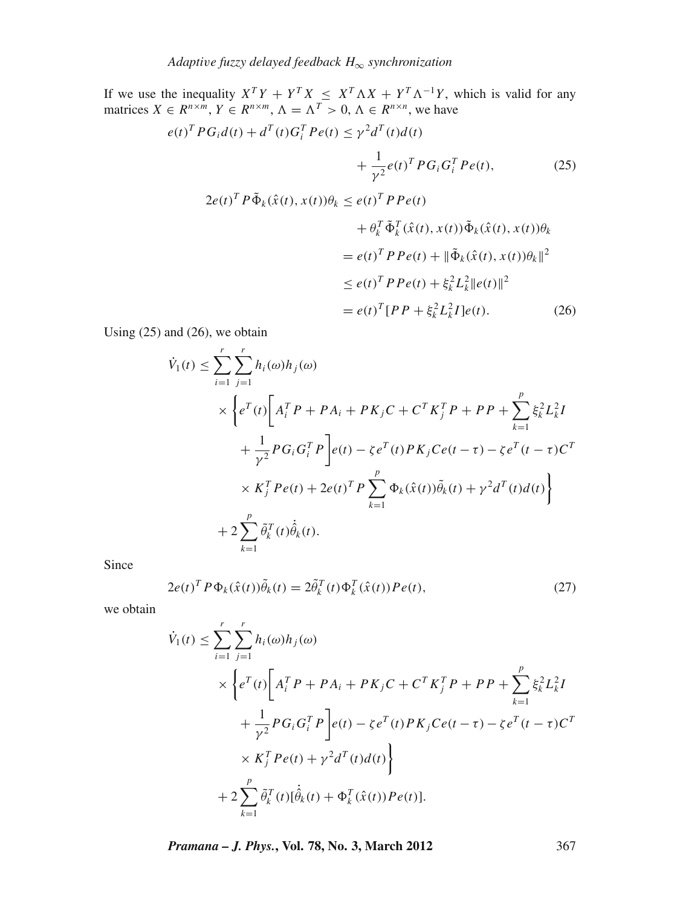If we use the inequality  $X^T Y + Y^T X \leq X^T \Lambda X + Y^T \Lambda^{-1} Y$ , which is valid for any matrices  $X \in R^{n \times m}$ ,  $Y \in R^{n \times m}$ ,  $\Lambda = \Lambda^T > 0$ ,  $\Lambda \in R^{n \times n}$ , we have

$$
e(t)^{T} PG_{i}d(t) + d^{T}(t)G_{i}^{T} Pe(t) \leq \gamma^{2}d^{T}(t)d(t)
$$
  
+ 
$$
\frac{1}{\gamma^{2}}e(t)^{T} PG_{i}G_{i}^{T} Pe(t), \qquad (25)
$$
  

$$
2e(t)^{T} P \tilde{\Phi}_{k}(\hat{x}(t), x(t))\theta_{k} \leq e(t)^{T} P Pe(t)
$$
  
+ 
$$
\theta_{k}^{T} \tilde{\Phi}_{k}^{T}(\hat{x}(t), x(t))\tilde{\Phi}_{k}(\hat{x}(t), x(t))\theta_{k}
$$
  
= 
$$
e(t)^{T} P Pe(t) + ||\tilde{\Phi}_{k}(\hat{x}(t), x(t))\theta_{k}||^{2}
$$
  

$$
\leq e(t)^{T} P Pe(t) + \xi_{k}^{2} L_{k}^{2} ||e(t)||^{2}
$$
  
= 
$$
e(t)^{T} [PP + \xi_{k}^{2} L_{k}^{2} I]e(t).
$$
 (26)

Using  $(25)$  and  $(26)$ , we obtain

$$
\dot{V}_1(t) \leq \sum_{i=1}^r \sum_{j=1}^r h_i(\omega) h_j(\omega) \n\times \left\{ e^T(t) \left[ A_i^T P + P A_i + P K_j C + C^T K_j^T P + P P + \sum_{k=1}^p \xi_k^2 L_k^2 I \right.\n+ \frac{1}{\gamma^2} P G_i G_i^T P \right\} e(t) - \zeta e^T(t) P K_j C e(t - \tau) - \zeta e^T (t - \tau) C^T \n\times K_j^T P e(t) + 2e(t)^T P \sum_{k=1}^p \Phi_k(\hat{x}(t)) \tilde{\theta}_k(t) + \gamma^2 d^T(t) d(t) \right\} \n+ 2 \sum_{k=1}^p \tilde{\theta}_k^T(t) \dot{\tilde{\theta}}_k(t).
$$

Since

$$
2e(t)^{T} P \Phi_{k}(\hat{x}(t))\tilde{\theta}_{k}(t) = 2\tilde{\theta}_{k}^{T}(t)\Phi_{k}^{T}(\hat{x}(t))Pe(t),
$$
\n(27)

we obtain

$$
\dot{V}_{1}(t) \leq \sum_{i=1}^{r} \sum_{j=1}^{r} h_{i}(\omega) h_{j}(\omega)
$$
\n
$$
\times \left\{ e^{T}(t) \left[ A_{i}^{T} P + P A_{i} + P K_{j} C + C^{T} K_{j}^{T} P + P P + \sum_{k=1}^{p} \xi_{k}^{2} L_{k}^{2} I + \frac{1}{\gamma^{2}} P G_{i} G_{i}^{T} P \right] e(t) - \zeta e^{T}(t) P K_{j} C e(t - \tau) - \zeta e^{T}(t - \tau) C^{T}
$$
\n
$$
\times K_{j}^{T} P e(t) + \gamma^{2} d^{T}(t) d(t) \right\}
$$
\n
$$
+ 2 \sum_{k=1}^{p} \tilde{\theta}_{k}^{T}(t) [\dot{\hat{\theta}}_{k}(t) + \Phi_{k}^{T}(\hat{x}(t)) P e(t)].
$$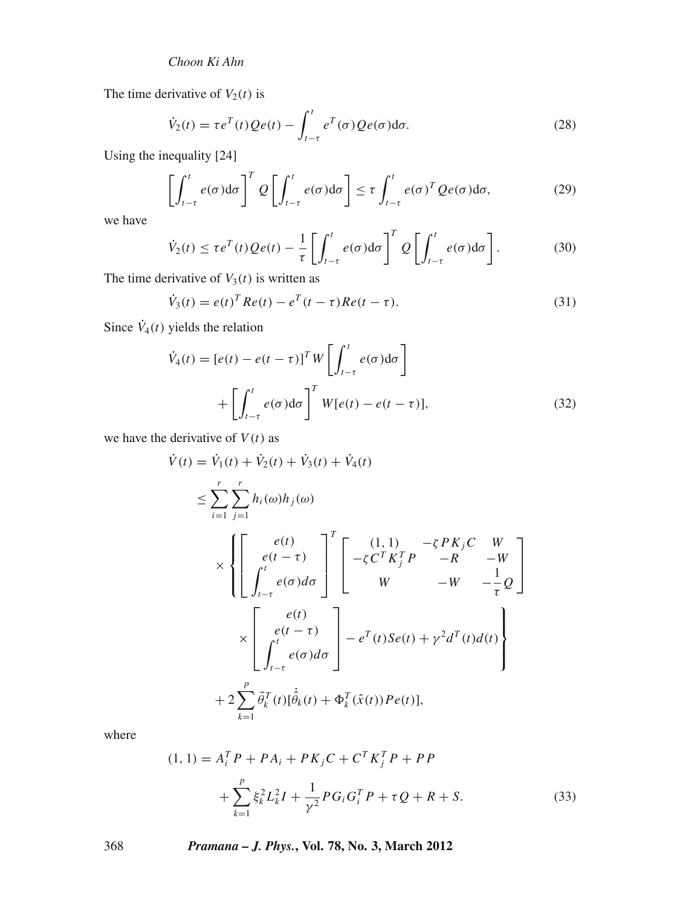The time derivative of  $V_2(t)$  is

$$
\dot{V}_2(t) = \tau e^T(t) Q e(t) - \int_{t-\tau}^t e^T(\sigma) Q e(\sigma) d\sigma.
$$
\n(28)

Using the inequality [24]

$$
\left[\int_{t-\tau}^{t} e(\sigma) d\sigma\right]^{T} Q \left[\int_{t-\tau}^{t} e(\sigma) d\sigma\right] \leq \tau \int_{t-\tau}^{t} e(\sigma)^{T} Q e(\sigma) d\sigma, \tag{29}
$$

we have

$$
\dot{V}_2(t) \le \tau e^T(t) Q e(t) - \frac{1}{\tau} \left[ \int_{t-\tau}^t e(\sigma) d\sigma \right]^T Q \left[ \int_{t-\tau}^t e(\sigma) d\sigma \right]. \tag{30}
$$

The time derivative of  $V_3(t)$  is written as

$$
\dot{V}_3(t) = e(t)^T Re(t) - e^T (t - \tau) Re(t - \tau).
$$
\n(31)

Since  $\dot{V}_4(t)$  yields the relation

$$
\dot{V}_4(t) = [e(t) - e(t - \tau)]^T W \left[ \int_{t-\tau}^t e(\sigma) d\sigma \right]
$$

$$
+ \left[ \int_{t-\tau}^t e(\sigma) d\sigma \right]^T W [e(t) - e(t - \tau)], \tag{32}
$$

we have the derivative of  $V(t)$  as

$$
\dot{V}(t) = \dot{V}_1(t) + \dot{V}_2(t) + \dot{V}_3(t) + \dot{V}_4(t)
$$
\n
$$
\leq \sum_{i=1}^r \sum_{j=1}^r h_i(\omega)h_j(\omega)
$$
\n
$$
\times \left\{ \begin{bmatrix} e(t) \\ e(t-\tau) \\ \int_{t-\tau}^t e(\sigma)d\sigma \end{bmatrix}^T \begin{bmatrix} (1,1) & -\zeta PK_jC & W \\ -\zeta C^TK_j^TP & -R & -W \\ W & -W & -\frac{1}{\tau}Q \end{bmatrix} \right\}
$$
\n
$$
\times \begin{bmatrix} e(t) \\ e(t-\tau) \\ \int_{t-\tau}^t e(\sigma)d\sigma \end{bmatrix} - e^T(t)Se(t) + \gamma^2 d^T(t)d(t)
$$
\n
$$
+ 2 \sum_{k=1}^p \tilde{\theta}_k^T(t) [\dot{\hat{\theta}}_k(t) + \Phi_k^T(\hat{x}(t))Pe(t)],
$$

where

$$
(1, 1) = A_i^T P + P A_i + P K_j C + C^T K_j^T P + P P
$$
  
+ 
$$
\sum_{k=1}^p \xi_k^2 L_k^2 I + \frac{1}{\gamma^2} P G_i G_i^T P + \tau Q + R + S.
$$
 (33)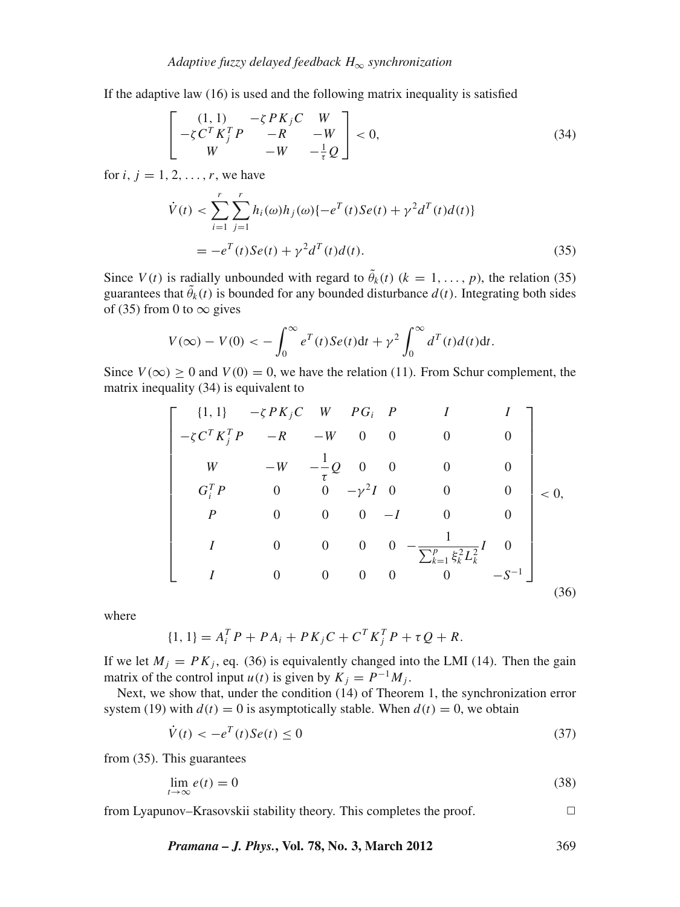If the adaptive law (16) is used and the following matrix inequality is satisfied

$$
\begin{bmatrix}\n(1,1) & -\zeta P K_j C & W \\
-\zeta C^T K_j^T P & -R & -W \\
W & -W & -\frac{1}{\tau} Q\n\end{bmatrix} < 0,\tag{34}
$$

for  $i, i = 1, 2, \ldots, r$ , we have

$$
\dot{V}(t) < \sum_{i=1}^{r} \sum_{j=1}^{r} h_i(\omega) h_j(\omega) \{-e^T(t)Se(t) + \gamma^2 d^T(t) d(t)\}
$$
\n
$$
= -e^T(t)Se(t) + \gamma^2 d^T(t) d(t). \tag{35}
$$

Since  $V(t)$  is radially unbounded with regard to  $\tilde{\theta}_k(t)$  ( $k = 1, ..., p$ ), the relation (35) guarantees that  $\tilde{\theta}_k(t)$  is bounded for any bounded disturbance  $d(t)$ . Integrating both sides of (35) from 0 to  $\infty$  gives

$$
V(\infty) - V(0) < -\int_0^\infty e^T(t)Se(t)\mathrm{d}t + \gamma^2 \int_0^\infty d^T(t)d(t)\mathrm{d}t.
$$

Since  $V(\infty) \ge 0$  and  $V(0) = 0$ , we have the relation (11). From Schur complement, the matrix inequality (34) is equivalent to

$$
\begin{bmatrix}\n\{1,1\} & -\zeta PK_jC & W & PG_i & P & I & I \\
-\zeta C^T K_j^T P & -R & -W & 0 & 0 & 0 & 0 \\
W & -W & -\frac{1}{\tau}Q & 0 & 0 & 0 & 0 \\
G_i^T P & 0 & 0 & -\gamma^2 I & 0 & 0 & 0 \\
P & 0 & 0 & 0 & -I & 0 & 0 \\
I & 0 & 0 & 0 & 0 & -\frac{1}{\sum_{k=1}^p \xi_k^2 L_k^2} I & 0 \\
I & 0 & 0 & 0 & 0 & 0 & -S^{-1}\n\end{bmatrix}
$$
\n
$$
(36)
$$

where

$$
\{1, 1\} = A_i^T P + P A_i + P K_j C + C^T K_j^T P + \tau Q + R.
$$

If we let  $M_i = PK_i$ , eq. (36) is equivalently changed into the LMI (14). Then the gain matrix of the control input *u*(*t*) is given by  $K_i = P^{-1}M_i$ .

Next, we show that, under the condition (14) of Theorem 1, the synchronization error system (19) with  $d(t) = 0$  is asymptotically stable. When  $d(t) = 0$ , we obtain

$$
\dot{V}(t) < -e^T(t)Se(t) \le 0\tag{37}
$$

from (35). This guarantees

$$
\lim_{t \to \infty} e(t) = 0 \tag{38}
$$

from Lyapunov–Krasovskii stability theory. This completes the proof.  $\Box$ 

*Pramana – J. Phys.***, Vol. 78, No. 3, March 2012** 369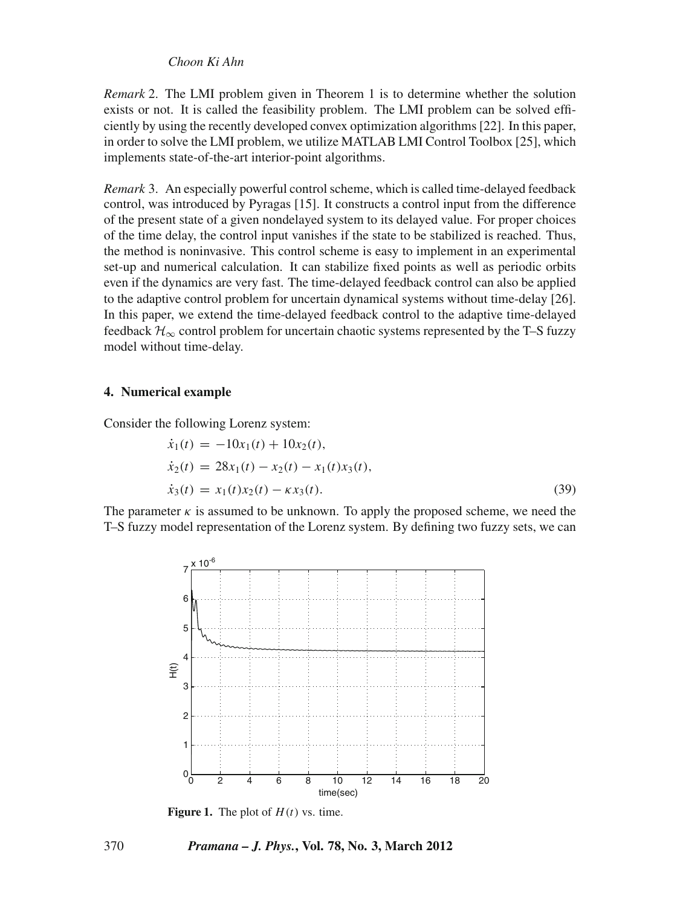*Remark* 2. The LMI problem given in Theorem 1 is to determine whether the solution exists or not. It is called the feasibility problem. The LMI problem can be solved efficiently by using the recently developed convex optimization algorithms [22]. In this paper, in order to solve the LMI problem, we utilize MATLAB LMI Control Toolbox [25], which implements state-of-the-art interior-point algorithms.

*Remark* 3. An especially powerful control scheme, which is called time-delayed feedback control, was introduced by Pyragas [15]. It constructs a control input from the difference of the present state of a given nondelayed system to its delayed value. For proper choices of the time delay, the control input vanishes if the state to be stabilized is reached. Thus, the method is noninvasive. This control scheme is easy to implement in an experimental set-up and numerical calculation. It can stabilize fixed points as well as periodic orbits even if the dynamics are very fast. The time-delayed feedback control can also be applied to the adaptive control problem for uncertain dynamical systems without time-delay [26]. In this paper, we extend the time-delayed feedback control to the adaptive time-delayed feedback  $\mathcal{H}_{\infty}$  control problem for uncertain chaotic systems represented by the T–S fuzzy model without time-delay.

#### **4. Numerical example**

Consider the following Lorenz system:

$$
\begin{aligned}\n\dot{x}_1(t) &= -10x_1(t) + 10x_2(t), \\
\dot{x}_2(t) &= 28x_1(t) - x_2(t) - x_1(t)x_3(t), \\
\dot{x}_3(t) &= x_1(t)x_2(t) - \kappa x_3(t).\n\end{aligned} \tag{39}
$$

The parameter  $\kappa$  is assumed to be unknown. To apply the proposed scheme, we need the T–S fuzzy model representation of the Lorenz system. By defining two fuzzy sets, we can



**Figure 1.** The plot of  $H(t)$  vs. time.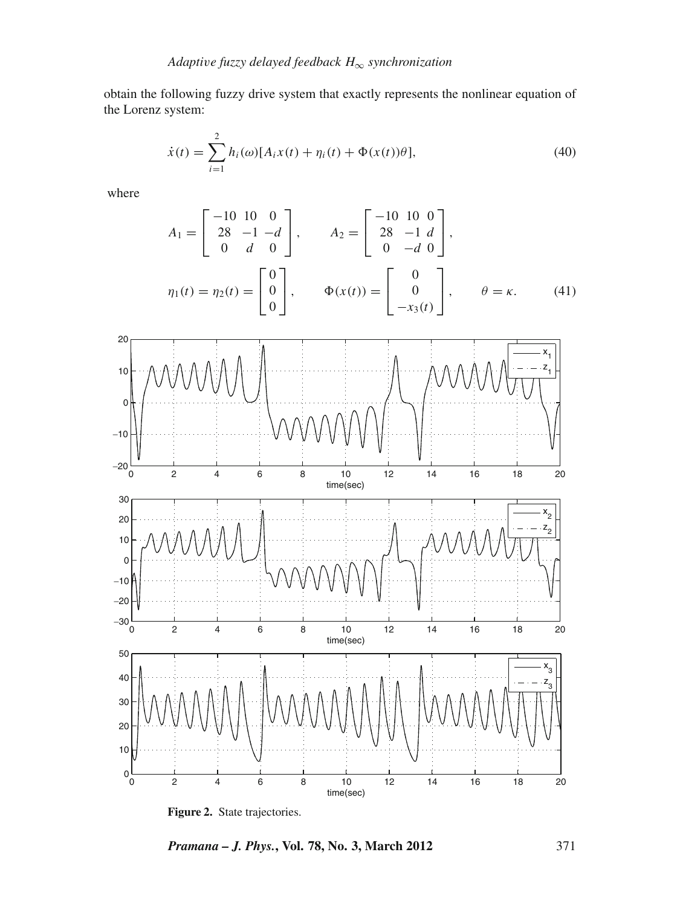obtain the following fuzzy drive system that exactly represents the nonlinear equation of the Lorenz system:

$$
\dot{x}(t) = \sum_{i=1}^{2} h_i(\omega) [A_i x(t) + \eta_i(t) + \Phi(x(t))\theta],
$$
\n(40)

where

$$
A_1 = \begin{bmatrix} -10 & 10 & 0 \\ 28 & -1 & -d \\ 0 & d & 0 \end{bmatrix}, \qquad A_2 = \begin{bmatrix} -10 & 10 & 0 \\ 28 & -1 & d \\ 0 & -d & 0 \end{bmatrix},
$$

$$
\eta_1(t) = \eta_2(t) = \begin{bmatrix} 0 \\ 0 \\ 0 \end{bmatrix}, \qquad \Phi(x(t)) = \begin{bmatrix} 0 \\ 0 \\ -x_3(t) \end{bmatrix}, \qquad \theta = \kappa. \tag{41}
$$



**Figure 2.** State trajectories.

*Pramana – J. Phys.***, Vol. 78, No. 3, March 2012** 371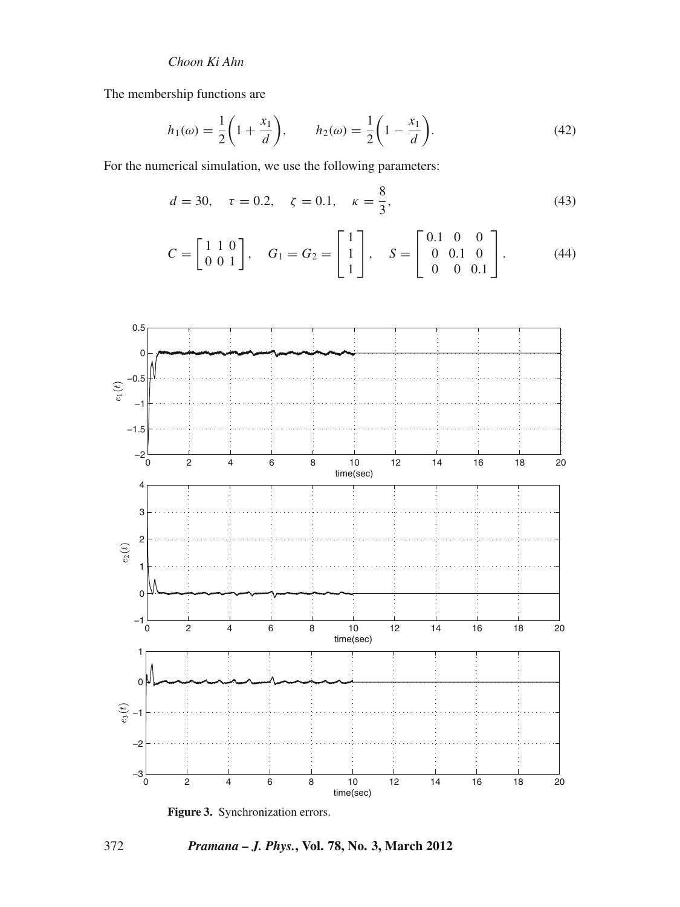The membership functions are

$$
h_1(\omega) = \frac{1}{2} \left( 1 + \frac{x_1}{d} \right), \qquad h_2(\omega) = \frac{1}{2} \left( 1 - \frac{x_1}{d} \right). \tag{42}
$$

For the numerical simulation, we use the following parameters:

$$
d = 30, \quad \tau = 0.2, \quad \zeta = 0.1, \quad \kappa = \frac{8}{3}, \tag{43}
$$

$$
C = \begin{bmatrix} 1 & 1 & 0 \\ 0 & 0 & 1 \end{bmatrix}, \quad G_1 = G_2 = \begin{bmatrix} 1 \\ 1 \\ 1 \end{bmatrix}, \quad S = \begin{bmatrix} 0.1 & 0 & 0 \\ 0 & 0.1 & 0 \\ 0 & 0 & 0.1 \end{bmatrix}.
$$
 (44)



**Figure 3.** Synchronization errors.

372 *Pramana – J. Phys.***, Vol. 78, No. 3, March 2012**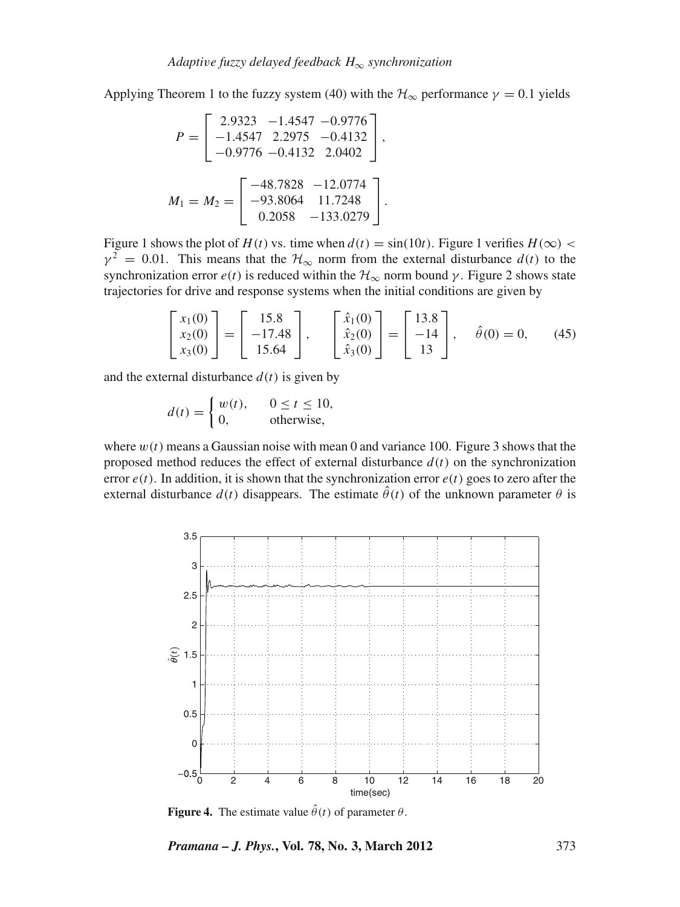Applying Theorem 1 to the fuzzy system (40) with the  $\mathcal{H}_{\infty}$  performance  $\gamma = 0.1$  yields

$$
P = \begin{bmatrix} 2.9323 & -1.4547 & -0.9776 \\ -1.4547 & 2.2975 & -0.4132 \\ -0.9776 & -0.4132 & 2.0402 \end{bmatrix},
$$

$$
M_1 = M_2 = \begin{bmatrix} -48.7828 & -12.0774 \\ -93.8064 & 11.7248 \\ 0.2058 & -133.0279 \end{bmatrix}.
$$

Figure 1 shows the plot of *H*(*t*) vs. time when  $d(t) = \sin(10t)$ . Figure 1 verifies  $H(\infty)$  <  $\gamma^2 = 0.01$ . This means that the  $\mathcal{H}_{\infty}$  norm from the external disturbance  $d(t)$  to the synchronization error  $e(t)$  is reduced within the  $\mathcal{H}_{\infty}$  norm bound  $\gamma$ . Figure 2 shows state trajectories for drive and response systems when the initial conditions are given by

$$
\begin{bmatrix} x_1(0) \\ x_2(0) \\ x_3(0) \end{bmatrix} = \begin{bmatrix} 15.8 \\ -17.48 \\ 15.64 \end{bmatrix}, \quad \begin{bmatrix} \hat{x}_1(0) \\ \hat{x}_2(0) \\ \hat{x}_3(0) \end{bmatrix} = \begin{bmatrix} 13.8 \\ -14 \\ 13 \end{bmatrix}, \quad \hat{\theta}(0) = 0, \quad (45)
$$

and the external disturbance  $d(t)$  is given by

$$
d(t) = \begin{cases} w(t), & 0 \le t \le 10, \\ 0, & \text{otherwise,} \end{cases}
$$

where  $w(t)$  means a Gaussian noise with mean 0 and variance 100. Figure 3 shows that the proposed method reduces the effect of external disturbance  $d(t)$  on the synchronization error  $e(t)$ . In addition, it is shown that the synchronization error  $e(t)$  goes to zero after the external disturbance  $d(t)$  disappears. The estimate  $\hat{\theta}(t)$  of the unknown parameter  $\theta$  is



**Figure 4.** The estimate value  $\hat{\theta}(t)$  of parameter  $\theta$ .